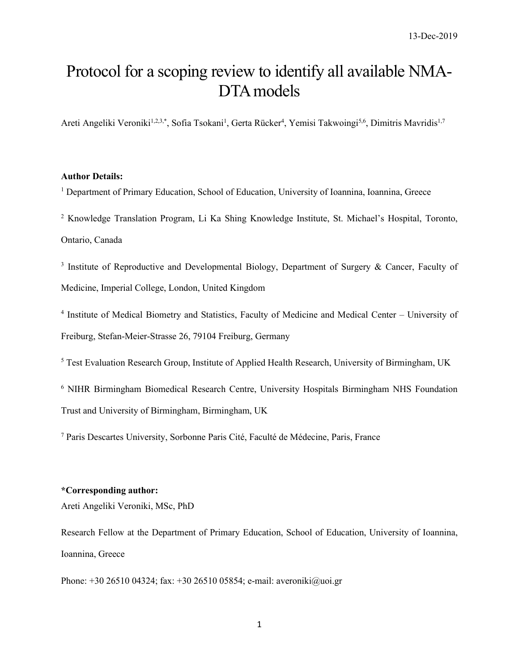# Protocol for a scoping review to identify all available NMA-DTA models

Areti Angeliki Veroniki<sup>1,2,3,\*</sup>, Sofia Tsokani<sup>1</sup>, Gerta Rücker<sup>4</sup>, Yemisi Takwoingi<sup>5,6</sup>, Dimitris Mavridis<sup>1,7</sup>

#### **Author Details:**

<sup>1</sup> Department of Primary Education, School of Education, University of Ioannina, Ioannina, Greece

<sup>2</sup> Knowledge Translation Program, Li Ka Shing Knowledge Institute, St. Michael's Hospital, Toronto, Ontario, Canada

<sup>3</sup> Institute of Reproductive and Developmental Biology, Department of Surgery & Cancer, Faculty of Medicine, Imperial College, London, United Kingdom

<sup>4</sup> Institute of Medical Biometry and Statistics, Faculty of Medicine and Medical Center – University of Freiburg, Stefan-Meier-Strasse 26, 79104 Freiburg, Germany

<sup>5</sup> Test Evaluation Research Group, Institute of Applied Health Research, University of Birmingham, UK

<sup>6</sup> NIHR Birmingham Biomedical Research Centre, University Hospitals Birmingham NHS Foundation Trust and University of Birmingham, Birmingham, UK

<sup>7</sup> Paris Descartes University, Sorbonne Paris Cité, Faculté de Médecine, Paris, France

### **\*Corresponding author:**

Areti Angeliki Veroniki, MSc, PhD

Research Fellow at the Department of Primary Education, School of Education, University of Ioannina, Ioannina, Greece

Phone: +30 26510 04324; fax: +30 26510 05854; e-mail: [averoniki@uoi.gr](mailto:averoniki@uoi.gr)

1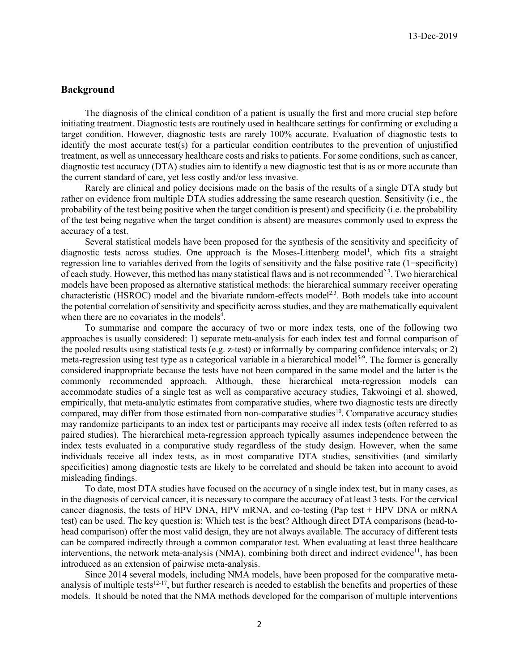### **Background**

The diagnosis of the clinical condition of a patient is usually the first and more crucial step before initiating treatment. Diagnostic tests are routinely used in healthcare settings for confirming or excluding a target condition. However, diagnostic tests are rarely 100% accurate. Evaluation of diagnostic tests to identify the most accurate test(s) for a particular condition contributes to the prevention of unjustified treatment, as well as unnecessary healthcare costs and risks to patients. For some conditions, such as cancer, diagnostic test accuracy (DTA) studies aim to identify a new diagnostic test that is as or more accurate than the current standard of care, yet less costly and/or less invasive.

Rarely are clinical and policy decisions made on the basis of the results of a single DTA study but rather on evidence from multiple DTA studies addressing the same research question. Sensitivity (i.e., the probability of the test being positive when the target condition is present) and specificity (i.e. the probability of the test being negative when the target condition is absent) are measures commonly used to express the accuracy of a test.

Several statistical models have been proposed for the synthesis of the sensitivity and specificity of diagnostic tests across studies. One approach is the Moses-Littenberg model<sup>1</sup>, which fits a straight regression line to variables derived from the logits of sensitivity and the false positive rate (1−specificity) of each study. However, this method has many statistical flaws and is not recommended<sup>2,3</sup>. Two hierarchical models have been proposed as alternative statistical methods: the hierarchical summary receiver operating characteristic (HSROC) model and the bivariate random-effects model<sup>2,3</sup>. Both models take into account the potential correlation of sensitivity and specificity across studies, and they are mathematically equivalent when there are no covariates in the models<sup>4</sup>.

To summarise and compare the accuracy of two or more index tests, one of the following two approaches is usually considered: 1) separate meta-analysis for each index test and formal comparison of the pooled results using statistical tests (e.g. z-test) or informally by comparing confidence intervals; or 2) meta-regression using test type as a categorical variable in a hierarchical model<sup>5-9</sup>. The former is generally considered inappropriate because the tests have not been compared in the same model and the latter is the commonly recommended approach. Although, these hierarchical meta-regression models can accommodate studies of a single test as well as comparative accuracy studies, Takwoingi et al. showed, empirically, that meta-analytic estimates from comparative studies, where two diagnostic tests are directly compared, may differ from those estimated from non-comparative studies<sup>10</sup>. Comparative accuracy studies may randomize participants to an index test or participants may receive all index tests (often referred to as paired studies). The hierarchical meta-regression approach typically assumes independence between the index tests evaluated in a comparative study regardless of the study design. However, when the same individuals receive all index tests, as in most comparative DTA studies, sensitivities (and similarly specificities) among diagnostic tests are likely to be correlated and should be taken into account to avoid misleading findings.

To date, most DTA studies have focused on the accuracy of a single index test, but in many cases, as in the diagnosis of cervical cancer, it is necessary to compare the accuracy of at least 3 tests. For the cervical cancer diagnosis, the tests of HPV DNA, HPV mRNA, and co-testing (Pap test + HPV DNA or mRNA test) can be used. The key question is: Which test is the best? Although direct DTA comparisons (head-tohead comparison) offer the most valid design, they are not always available. The accuracy of different tests can be compared indirectly through a common comparator test. When evaluating at least three healthcare interventions, the network meta-analysis (NMA), combining both direct and indirect evidence<sup>11</sup>, has been introduced as an extension of pairwise meta-analysis.

Since 2014 several models, including NMA models, have been proposed for the comparative metaanalysis of multiple tests<sup>12-17</sup>, but further research is needed to establish the benefits and properties of these models. It should be noted that the NMA methods developed for the comparison of multiple interventions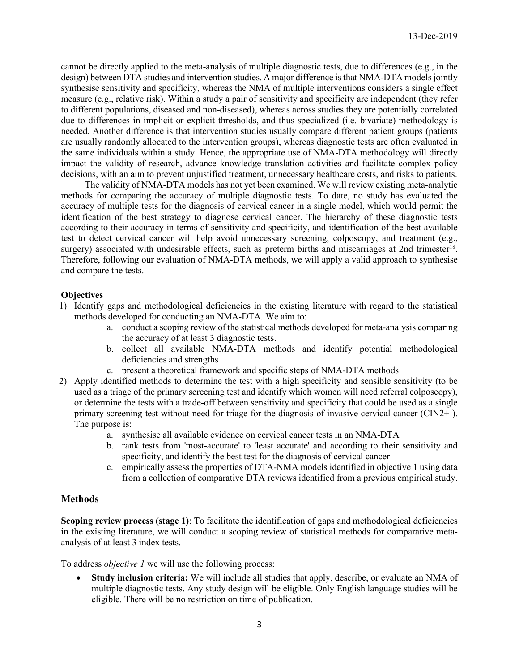cannot be directly applied to the meta-analysis of multiple diagnostic tests, due to differences (e.g., in the design) between DTA studies and intervention studies. A major difference is that NMA-DTA models jointly synthesise sensitivity and specificity, whereas the NMA of multiple interventions considers a single effect measure (e.g., relative risk). Within a study a pair of sensitivity and specificity are independent (they refer to different populations, diseased and non-diseased), whereas across studies they are potentially correlated due to differences in implicit or explicit thresholds, and thus specialized (i.e. bivariate) methodology is needed. Another difference is that intervention studies usually compare different patient groups (patients are usually randomly allocated to the intervention groups), whereas diagnostic tests are often evaluated in the same individuals within a study. Hence, the appropriate use of NMA-DTA methodology will directly impact the validity of research, advance knowledge translation activities and facilitate complex policy decisions, with an aim to prevent unjustified treatment, unnecessary healthcare costs, and risks to patients.

The validity of NMA-DTA models has not yet been examined. We will review existing meta-analytic methods for comparing the accuracy of multiple diagnostic tests. To date, no study has evaluated the accuracy of multiple tests for the diagnosis of cervical cancer in a single model, which would permit the identification of the best strategy to diagnose cervical cancer. The hierarchy of these diagnostic tests according to their accuracy in terms of sensitivity and specificity, and identification of the best available test to detect cervical cancer will help avoid unnecessary screening, colposcopy, and treatment (e.g., surgery) associated with undesirable effects, such as preterm births and miscarriages at 2nd trimester<sup>18</sup>. Therefore, following our evaluation of NMA-DTA methods, we will apply a valid approach to synthesise and compare the tests.

### **Objectives**

- 1) Identify gaps and methodological deficiencies in the existing literature with regard to the statistical methods developed for conducting an NMA-DTA. We aim to:
	- a. conduct a scoping review of the statistical methods developed for meta-analysis comparing the accuracy of at least 3 diagnostic tests.
	- b. collect all available NMA-DTA methods and identify potential methodological deficiencies and strengths
	- c. present a theoretical framework and specific steps of NMA-DTA methods
- 2) Apply identified methods to determine the test with a high specificity and sensible sensitivity (to be used as a triage of the primary screening test and identify which women will need referral colposcopy), or determine the tests with a trade-off between sensitivity and specificity that could be used as a single primary screening test without need for triage for the diagnosis of invasive cervical cancer (CIN2+ ). The purpose is:
	- a. synthesise all available evidence on cervical cancer tests in an NMA-DTA
	- b. rank tests from 'most-accurate' to 'least accurate' and according to their sensitivity and specificity, and identify the best test for the diagnosis of cervical cancer
	- c. empirically assess the properties of DTA-NMA models identified in objective 1 using data from a collection of comparative DTA reviews identified from a previous empirical study.

# **Methods**

**Scoping review process (stage 1)**: To facilitate the identification of gaps and methodological deficiencies in the existing literature, we will conduct a scoping review of statistical methods for comparative metaanalysis of at least 3 index tests.

To address *objective 1* we will use the following process:

• **Study inclusion criteria:** We will include all studies that apply, describe, or evaluate an NMA of multiple diagnostic tests. Any study design will be eligible. Only English language studies will be eligible. There will be no restriction on time of publication.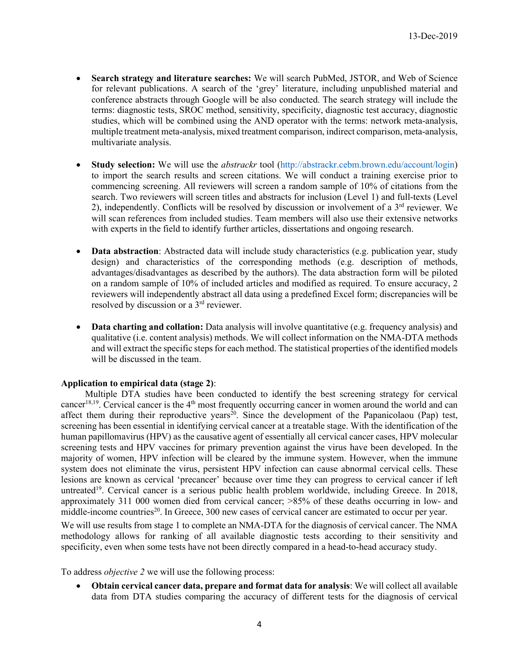- **Search strategy and literature searches:** We will search PubMed, JSTOR, and Web of Science for relevant publications. A search of the 'grey' literature, including unpublished material and conference abstracts through Google will be also conducted. The search strategy will include the terms: diagnostic tests, SROC method, sensitivity, specificity, diagnostic test accuracy, diagnostic studies, which will be combined using the AND operator with the terms: network meta-analysis, multiple treatment meta-analysis, mixed treatment comparison, indirect comparison, meta-analysis, multivariate analysis.
- **Study selection:** We will use the *abstrackr* tool [\(http://abstrackr.cebm.brown.edu/account/login\)](http://abstrackr.cebm.brown.edu/account/login) to import the search results and screen citations. We will conduct a training exercise prior to commencing screening. All reviewers will screen a random sample of 10% of citations from the search. Two reviewers will screen titles and abstracts for inclusion (Level 1) and full-texts (Level 2), independently. Conflicts will be resolved by discussion or involvement of a  $3<sup>rd</sup>$  reviewer. We will scan references from included studies. Team members will also use their extensive networks with experts in the field to identify further articles, dissertations and ongoing research.
- **Data abstraction**: Abstracted data will include study characteristics (e.g. publication year, study design) and characteristics of the corresponding methods (e.g. description of methods, advantages/disadvantages as described by the authors). The data abstraction form will be piloted on a random sample of 10% of included articles and modified as required. To ensure accuracy, 2 reviewers will independently abstract all data using a predefined Excel form; discrepancies will be resolved by discussion or a 3rd reviewer.
- **Data charting and collation:** Data analysis will involve quantitative (e.g. frequency analysis) and qualitative (i.e. content analysis) methods. We will collect information on the NMA-DTA methods and will extract the specific steps for each method. The statistical properties of the identified models will be discussed in the team.

#### **Application to empirical data (stage 2)**:

Multiple DTA studies have been conducted to identify the best screening strategy for cervical cancer<sup>18,19</sup>. Cervical cancer is the  $4<sup>th</sup>$  most frequently occurring cancer in women around the world and can affect them during their reproductive years<sup>20</sup>. Since the development of the Papanicolaou (Pap) test, screening has been essential in identifying cervical cancer at a treatable stage. With the identification of the human papillomavirus (HPV) as the causative agent of essentially all cervical cancer cases, HPV molecular screening tests and HPV vaccines for primary prevention against the virus have been developed. In the majority of women, HPV infection will be cleared by the immune system. However, when the immune system does not eliminate the virus, persistent HPV infection can cause abnormal cervical cells. These lesions are known as cervical 'precancer' because over time they can progress to cervical cancer if left untreated<sup>19</sup>. Cervical cancer is a serious public health problem worldwide, including Greece. In 2018, approximately 311 000 women died from cervical cancer; >85% of these deaths occurring in low- and middle-income countries<sup>20</sup>. In Greece, 300 new cases of cervical cancer are estimated to occur per year.

We will use results from stage 1 to complete an NMA-DTA for the diagnosis of cervical cancer. The NMA methodology allows for ranking of all available diagnostic tests according to their sensitivity and specificity, even when some tests have not been directly compared in a head-to-head accuracy study.

To address *objective 2* we will use the following process:

• **Obtain cervical cancer data, prepare and format data for analysis**: We will collect all available data from DTA studies comparing the accuracy of different tests for the diagnosis of cervical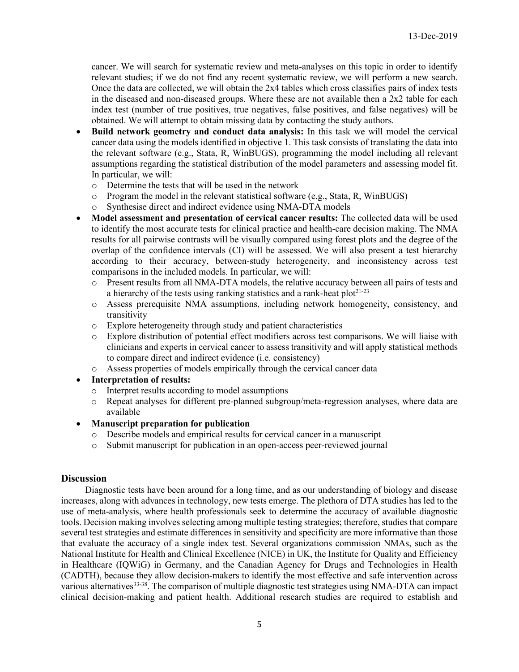cancer. We will search for systematic review and meta-analyses on this topic in order to identify relevant studies; if we do not find any recent systematic review, we will perform a new search. Once the data are collected, we will obtain the 2x4 tables which cross classifies pairs of index tests in the diseased and non-diseased groups. Where these are not available then a 2x2 table for each index test (number of true positives, true negatives, false positives, and false negatives) will be obtained. We will attempt to obtain missing data by contacting the study authors.

- **Build network geometry and conduct data analysis:** In this task we will model the cervical cancer data using the models identified in objective 1. This task consists of translating the data into the relevant software (e.g., Stata, R, WinBUGS), programming the model including all relevant assumptions regarding the statistical distribution of the model parameters and assessing model fit. In particular, we will:
	- o Determine the tests that will be used in the network
	- o Program the model in the relevant statistical software (e.g., Stata, R, WinBUGS)
	- o Synthesise direct and indirect evidence using NMA-DTA models
- **Model assessment and presentation of cervical cancer results:** The collected data will be used to identify the most accurate tests for clinical practice and health-care decision making. The NMA results for all pairwise contrasts will be visually compared using forest plots and the degree of the overlap of the confidence intervals (CI) will be assessed. We will also present a test hierarchy according to their accuracy, between-study heterogeneity, and inconsistency across test comparisons in the included models. In particular, we will:
	- o Present results from all NMA-DTA models, the relative accuracy between all pairs of tests and a hierarchy of the tests using ranking statistics and a rank-heat  $plot^{21-23}$
	- o Assess prerequisite NMA assumptions, including network homogeneity, consistency, and transitivity
	- o Explore heterogeneity through study and patient characteristics
	- o Explore distribution of potential effect modifiers across test comparisons. We will liaise with clinicians and experts in cervical cancer to assess transitivity and will apply statistical methods to compare direct and indirect evidence (i.e. consistency)
	- o Assess properties of models empirically through the cervical cancer data
- **Interpretation of results:**
	- o Interpret results according to model assumptions
	- o Repeat analyses for different pre-planned subgroup/meta-regression analyses, where data are available
- **Manuscript preparation for publication**
	- o Describe models and empirical results for cervical cancer in a manuscript
	- Submit manuscript for publication in an open-access peer-reviewed journal

#### **Discussion**

Diagnostic tests have been around for a long time, and as our understanding of biology and disease increases, along with advances in technology, new tests emerge. The plethora of DTA studies has led to the use of meta-analysis, where health professionals seek to determine the accuracy of available diagnostic tools. Decision making involves selecting among multiple testing strategies; therefore, studies that compare several test strategies and estimate differences in sensitivity and specificity are more informative than those that evaluate the accuracy of a single index test. Several organizations commission NMAs, such as the National Institute for Health and Clinical Excellence (NICE) in UK, the Institute for Quality and Efficiency in Healthcare (IQWiG) in Germany, and the Canadian Agency for Drugs and Technologies in Health (CADTH), because they allow decision-makers to identify the most effective and safe intervention across various alternatives<sup>33-38</sup>. The comparison of multiple diagnostic test strategies using NMA-DTA can impact clinical decision-making and patient health. Additional research studies are required to establish and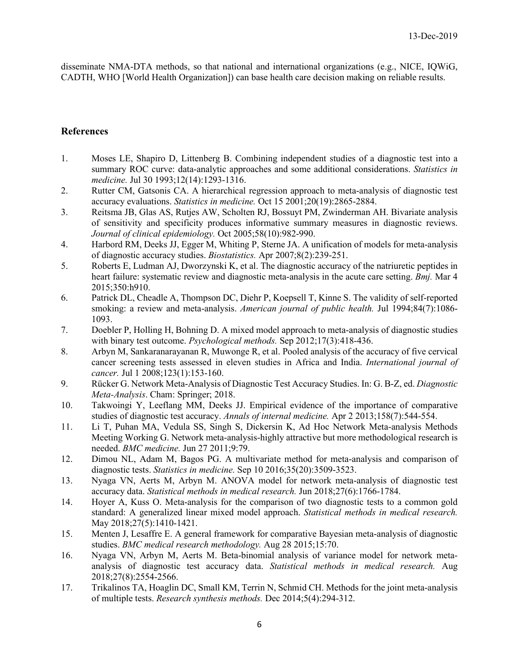disseminate NMA-DTA methods, so that national and international organizations (e.g., NICE, IQWiG, CADTH, WHO [World Health Organization]) can base health care decision making on reliable results.

## **References**

- 1. Moses LE, Shapiro D, Littenberg B. Combining independent studies of a diagnostic test into a summary ROC curve: data-analytic approaches and some additional considerations. *Statistics in medicine.* Jul 30 1993;12(14):1293-1316.
- 2. Rutter CM, Gatsonis CA. A hierarchical regression approach to meta-analysis of diagnostic test accuracy evaluations. *Statistics in medicine.* Oct 15 2001;20(19):2865-2884.
- 3. Reitsma JB, Glas AS, Rutjes AW, Scholten RJ, Bossuyt PM, Zwinderman AH. Bivariate analysis of sensitivity and specificity produces informative summary measures in diagnostic reviews. *Journal of clinical epidemiology.* Oct 2005;58(10):982-990.
- 4. Harbord RM, Deeks JJ, Egger M, Whiting P, Sterne JA. A unification of models for meta-analysis of diagnostic accuracy studies. *Biostatistics.* Apr 2007;8(2):239-251.
- 5. Roberts E, Ludman AJ, Dworzynski K, et al. The diagnostic accuracy of the natriuretic peptides in heart failure: systematic review and diagnostic meta-analysis in the acute care setting. *Bmj.* Mar 4 2015;350:h910.
- 6. Patrick DL, Cheadle A, Thompson DC, Diehr P, Koepsell T, Kinne S. The validity of self-reported smoking: a review and meta-analysis. *American journal of public health*. Jul 1994;84(7):1086-1093.
- 7. Doebler P, Holling H, Bohning D. A mixed model approach to meta-analysis of diagnostic studies with binary test outcome. *Psychological methods.* Sep 2012;17(3):418-436.
- 8. Arbyn M, Sankaranarayanan R, Muwonge R, et al. Pooled analysis of the accuracy of five cervical cancer screening tests assessed in eleven studies in Africa and India. *International journal of cancer.* Jul 1 2008;123(1):153-160.
- 9. Rücker G. Network Meta-Analysis of Diagnostic Test Accuracy Studies. In: G. B-Z, ed. *Diagnostic Meta-Analysis*. Cham: Springer; 2018.
- 10. Takwoingi Y, Leeflang MM, Deeks JJ. Empirical evidence of the importance of comparative studies of diagnostic test accuracy. *Annals of internal medicine.* Apr 2 2013;158(7):544-554.
- 11. Li T, Puhan MA, Vedula SS, Singh S, Dickersin K, Ad Hoc Network Meta-analysis Methods Meeting Working G. Network meta-analysis-highly attractive but more methodological research is needed. *BMC medicine.* Jun 27 2011;9:79.
- 12. Dimou NL, Adam M, Bagos PG. A multivariate method for meta-analysis and comparison of diagnostic tests. *Statistics in medicine.* Sep 10 2016;35(20):3509-3523.
- 13. Nyaga VN, Aerts M, Arbyn M. ANOVA model for network meta-analysis of diagnostic test accuracy data. *Statistical methods in medical research.* Jun 2018;27(6):1766-1784.
- 14. Hoyer A, Kuss O. Meta-analysis for the comparison of two diagnostic tests to a common gold standard: A generalized linear mixed model approach. *Statistical methods in medical research.*  May 2018;27(5):1410-1421.
- 15. Menten J, Lesaffre E. A general framework for comparative Bayesian meta-analysis of diagnostic studies. *BMC medical research methodology.* Aug 28 2015;15:70.
- 16. Nyaga VN, Arbyn M, Aerts M. Beta-binomial analysis of variance model for network metaanalysis of diagnostic test accuracy data. *Statistical methods in medical research.* Aug 2018;27(8):2554-2566.
- 17. Trikalinos TA, Hoaglin DC, Small KM, Terrin N, Schmid CH. Methods for the joint meta-analysis of multiple tests. *Research synthesis methods.* Dec 2014;5(4):294-312.